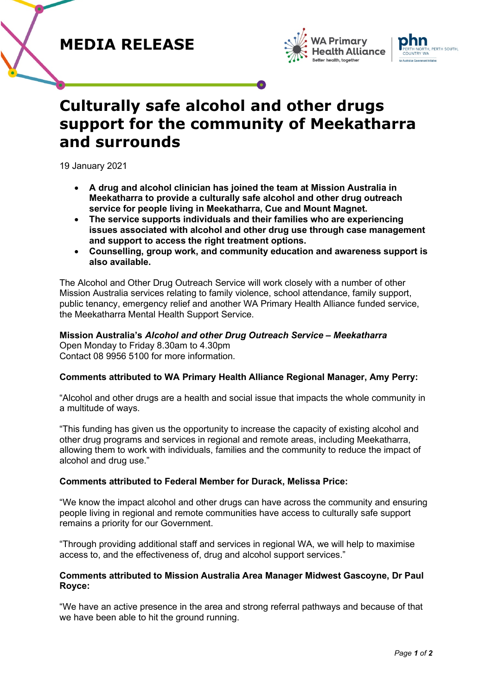# **MEDIA RELEASE**





# **Culturally safe alcohol and other drugs support for the community of Meekatharra and surrounds**

19 January 2021

- **A drug and alcohol clinician has joined the team at Mission Australia in Meekatharra to provide a culturally safe alcohol and other drug outreach service for people living in Meekatharra, Cue and Mount Magnet.**
- **The service supports individuals and their families who are experiencing issues associated with alcohol and other drug use through case management and support to access the right treatment options.**
- **Counselling, group work, and community education and awareness support is also available.**

The Alcohol and Other Drug Outreach Service will work closely with a number of other Mission Australia services relating to family violence, school attendance, family support, public tenancy, emergency relief and another WA Primary Health Alliance funded service, the Meekatharra Mental Health Support Service.

#### **Mission Australia's** *Alcohol and other Drug Outreach Service – Meekatharra* Open Monday to Friday 8.30am to 4.30pm

Contact 08 9956 5100 for more information.

# **Comments attributed to WA Primary Health Alliance Regional Manager, Amy Perry:**

"Alcohol and other drugs are a health and social issue that impacts the whole community in a multitude of ways.

"This funding has given us the opportunity to increase the capacity of existing alcohol and other drug programs and services in regional and remote areas, including Meekatharra, allowing them to work with individuals, families and the community to reduce the impact of alcohol and drug use."

# **Comments attributed to Federal Member for Durack, Melissa Price:**

"We know the impact alcohol and other drugs can have across the community and ensuring people living in regional and remote communities have access to culturally safe support remains a priority for our Government.

"Through providing additional staff and services in regional WA, we will help to maximise access to, and the effectiveness of, drug and alcohol support services."

### **Comments attributed to Mission Australia Area Manager Midwest Gascoyne, Dr Paul Royce:**

"We have an active presence in the area and strong referral pathways and because of that we have been able to hit the ground running.